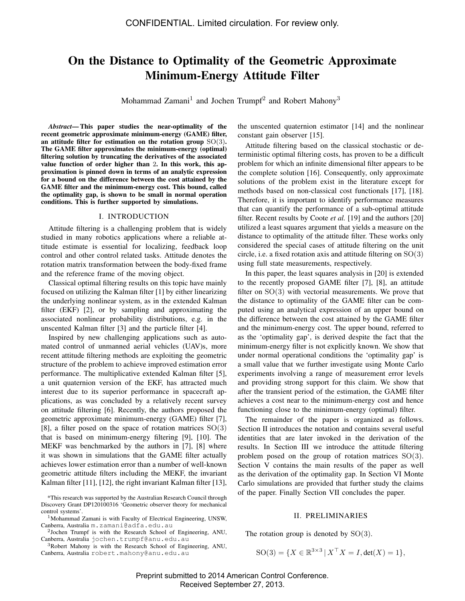# On the Distance to Optimality of the Geometric Approximate Minimum-Energy Attitude Filter

Mohammad Zamani<sup>1</sup> and Jochen Trumpf<sup>2</sup> and Robert Mahony<sup>3</sup>

*Abstract*— This paper studies the near-optimality of the recent geometric approximate minimum-energy (GAME) filter, an attitude filter for estimation on the rotation group  $SO(3)$ . The GAME filter approximates the minimum-energy (optimal) filtering solution by truncating the derivatives of the associated value function of order higher than 2. In this work, this approximation is pinned down in terms of an analytic expression for a bound on the difference between the cost attained by the GAME filter and the minimum-energy cost. This bound, called the optimality gap, is shown to be small in normal operation conditions. This is further supported by simulations.

### I. INTRODUCTION

Attitude filtering is a challenging problem that is widely studied in many robotics applications where a reliable attitude estimate is essential for localizing, feedback loop control and other control related tasks. Attitude denotes the rotation matrix transformation between the body-fixed frame and the reference frame of the moving object.

Classical optimal filtering results on this topic have mainly focused on utilizing the Kalman filter [1] by either linearizing the underlying nonlinear system, as in the extended Kalman filter (EKF) [2], or by sampling and approximating the associated nonlinear probability distributions, e.g. in the unscented Kalman filter [3] and the particle filter [4].

Inspired by new challenging applications such as automated control of unmanned aerial vehicles (UAV)s, more recent attitude filtering methods are exploiting the geometric structure of the problem to achieve improved estimation error performance. The multiplicative extended Kalman filter [5], a unit quaternion version of the EKF, has attracted much interest due to its superior performance in spacecraft applications, as was concluded by a relatively recent survey on attitude filtering [6]. Recently, the authors proposed the geometric approximate minimum-energy (GAME) filter [7], [8], a filter posed on the space of rotation matrices  $SO(3)$ that is based on minimum-energy filtering [9], [10]. The MEKF was benchmarked by the authors in [7], [8] where it was shown in simulations that the GAME filter actually achieves lower estimation error than a number of well-known geometric attitude filters including the MEKF, the invariant Kalman filter [11], [12], the right invariant Kalman filter [13],

the unscented quaternion estimator [14] and the nonlinear constant gain observer [15].

Attitude filtering based on the classical stochastic or deterministic optimal filtering costs, has proven to be a difficult problem for which an infinite dimensional filter appears to be the complete solution [16]. Consequently, only approximate solutions of the problem exist in the literature except for methods based on non-classical cost functionals [17], [18]. Therefore, it is important to identify performance measures that can quantify the performance of a sub-optimal attitude filter. Recent results by Coote *et al.* [19] and the authors [20] utilized a least squares argument that yields a measure on the distance to optimality of the attitude filter. These works only considered the special cases of attitude filtering on the unit circle, i.e. a fixed rotation axis and attitude filtering on  $SO(3)$ using full state measurements, respectively.

In this paper, the least squares analysis in [20] is extended to the recently proposed GAME filter [7], [8], an attitude filter on  $SO(3)$  with vectorial measurements. We prove that the distance to optimality of the GAME filter can be computed using an analytical expression of an upper bound on the difference between the cost attained by the GAME filter and the minimum-energy cost. The upper bound, referred to as the 'optimality gap', is derived despite the fact that the minimum-energy filter is not explicitly known. We show that under normal operational conditions the 'optimality gap' is a small value that we further investigate using Monte Carlo experiments involving a range of measurement error levels and providing strong support for this claim. We show that after the transient period of the estimation, the GAME filter achieves a cost near to the minimum-energy cost and hence functioning close to the minimum-energy (optimal) filter.

The remainder of the paper is organized as follows. Section II introduces the notation and contains several useful identities that are later invoked in the derivation of the results. In Section III we introduce the attitude filtering problem posed on the group of rotation matrices  $SO(3)$ . Section V contains the main results of the paper as well as the derivation of the optimality gap. In Section VI Monte Carlo simulations are provided that further study the claims of the paper. Finally Section VII concludes the paper.

# II. PRELIMINARIES

The rotation group is denoted by  $SO(3)$ .

$$
SO(3) = \{ X \in \mathbb{R}^{3 \times 3} \, | \, X^{\top} X = I, \det(X) = 1 \},
$$

<sup>\*</sup>This research was supported by the Australian Research Council through Discovery Grant DP120100316 'Geometric observer theory for mechanical control systems'.

<sup>&</sup>lt;sup>1</sup>Mohammad Zamani is with Faculty of Electrical Engineering, UNSW, Canberra, Australia m.zamani@adfa.edu.au

<sup>&</sup>lt;sup>2</sup>Jochen Trumpf is with the Research School of Engineering, ANU, Canberra, Australia jochen.trumpf@anu.edu.au

<sup>3</sup>Robert Mahony is with the Research School of Engineering, ANU, Canberra, Australia robert.mahony@anu.edu.au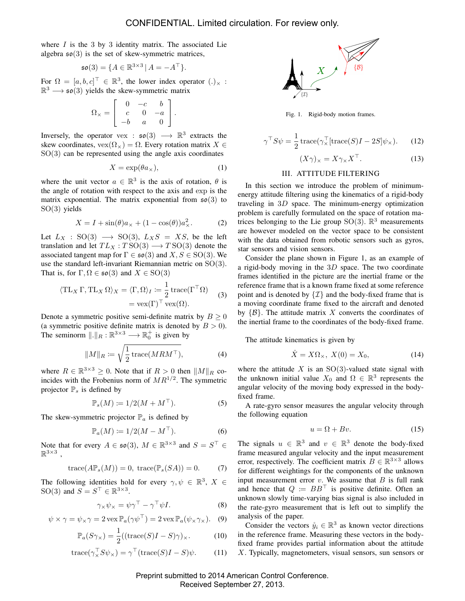where  $I$  is the 3 by 3 identity matrix. The associated Lie algebra  $\mathfrak{so}(3)$  is the set of skew-symmetric matrices,

$$
\mathfrak{so}(3) = \{ A \in \mathbb{R}^{3 \times 3} \, | \, A = -A^\top \}.
$$

For  $\Omega = [a, b, c]^\top \in \mathbb{R}^3$ , the lower index operator  $(.)_\times$ :  $\mathbb{R}^3 \longrightarrow$   $\mathfrak{so}(3)$  yields the skew-symmetric matrix

$$
\Omega_{\times} = \left[ \begin{array}{rrr} 0 & -c & b \\ c & 0 & -a \\ -b & a & 0 \end{array} \right].
$$

Inversely, the operator vex :  $\mathfrak{so}(3) \longrightarrow \mathbb{R}^3$  extracts the skew coordinates,  $\text{vex}(\Omega_{\times}) = \Omega$ . Every rotation matrix  $X \in$  $SO(3)$  can be represented using the angle axis coordinates

$$
X = \exp(\theta a_{\times}),\tag{1}
$$

where the unit vector  $a \in \mathbb{R}^3$  is the axis of rotation,  $\theta$  is the angle of rotation with respect to the axis and exp is the matrix exponential. The matrix exponential from  $\mathfrak{so}(3)$  to SO(3) yields

$$
X = I + \sin(\theta)a_{\times} + (1 - \cos(\theta))a_{\times}^{2}.
$$
 (2)

Let  $L_X$  : SO(3)  $\longrightarrow$  SO(3),  $L_XS = NS$ , be the left translation and let  $TL_X : TSO(3) \longrightarrow TSO(3)$  denote the associated tangent map for  $\Gamma \in \mathfrak{so}(3)$  and  $X, S \in SO(3)$ . We use the standard left-invariant Riemannian metric on  $SO(3)$ . That is, for  $\Gamma, \Omega \in \mathfrak{so}(3)$  and  $X \in SO(3)$ 

$$
\langle TL_X \Gamma, TL_X \Omega \rangle_X = \langle \Gamma, \Omega \rangle_I := \frac{1}{2} \operatorname{trace}(\Gamma^\top \Omega) \tag{3}
$$

$$
= \operatorname{vex}(\Gamma)^\top \operatorname{vex}(\Omega).
$$

Denote a symmetric positive semi-definite matrix by  $B \geq 0$ (a symmetric positive definite matrix is denoted by  $B > 0$ ). The seminorm  $\Vert . \Vert_R : \mathbb{R}^{3 \times 3} \longrightarrow \mathbb{R}_0^+$  is given by

$$
||M||_R \coloneqq \sqrt{\frac{1}{2} \operatorname{trace}(M R M^{\top})}, \tag{4}
$$

where  $R \in \mathbb{R}^{3 \times 3} \ge 0$ . Note that if  $R > 0$  then  $||M||_R$  coincides with the Frobenius norm of  $MR^{1/2}$ . The symmetric projector  $\mathbb{P}_s$  is defined by

$$
\mathbb{P}_s(M) \coloneqq 1/2(M + M^\top). \tag{5}
$$

The skew-symmetric projector  $\mathbb{P}_a$  is defined by

$$
\mathbb{P}_a(M) := 1/2(M - M^\top). \tag{6}
$$

Note that for every  $A \in \mathfrak{so}(3)$ ,  $M \in \mathbb{R}^{3 \times 3}$  and  $S = S^{\top} \in$  $\mathbb{R}^{3\times 3}$ ,

$$
trace(A\mathbb{P}_s(M)) = 0, trace(\mathbb{P}_s(SA)) = 0.
$$
 (7)

The following identities hold for every  $\gamma, \psi \in \mathbb{R}^3$ ,  $X \in$ SO(3) and  $S = S^{\top} \in \mathbb{R}^{3 \times 3}$ .

$$
\gamma_{\times}\psi_{\times} = \psi\gamma^{\top} - \gamma^{\top}\psi I.
$$
 (8)

$$
\psi \times \gamma = \psi_{\times} \gamma = 2 \operatorname{vex} \mathbb{P}_a(\gamma \psi^{\top}) = 2 \operatorname{vex} \mathbb{P}_a(\psi_{\times} \gamma_{\times}).
$$
 (9)

$$
\mathbb{P}_a(S\gamma_\times) = \frac{1}{2}((\text{trace}(S)I - S)\gamma)_\times. \tag{10}
$$

$$
trace(\gamma_X^{\top} S \psi_{\times}) = \gamma^{\top} (trace(S)I - S)\psi.
$$
 (11)





$$
\gamma^{\top} S \psi = \frac{1}{2} \operatorname{trace}(\gamma_{\times}^{\top} [\operatorname{trace}(S)I - 2S] \psi_{\times}). \tag{12}
$$

$$
(X\gamma)_{\times} = X\gamma_{\times}X^{\top}.
$$
 (13)

## III. ATTITUDE FILTERING

In this section we introduce the problem of minimumenergy attitude filtering using the kinematics of a rigid-body traveling in 3D space. The minimum-energy optimization problem is carefully formulated on the space of rotation matrices belonging to the Lie group  $SO(3)$ .  $\mathbb{R}^3$  measurements are however modeled on the vector space to be consistent with the data obtained from robotic sensors such as gyros, star sensors and vision sensors.

Consider the plane shown in Figure 1, as an example of a rigid-body moving in the  $3D$  space. The two coordinate frames identified in the picture are the inertial frame or the reference frame that is a known frame fixed at some reference point and is denoted by  $\{\mathcal{I}\}\$  and the body-fixed frame that is a moving coordinate frame fixed to the aircraft and denoted by  $\{\mathcal{B}\}\$ . The attitude matrix X converts the coordinates of the inertial frame to the coordinates of the body-fixed frame.

The attitude kinematics is given by

$$
\dot{X} = X\Omega_{\times}, \ X(0) = X_0,\tag{14}
$$

where the attitude  $X$  is an SO(3)-valued state signal with the unknown initial value  $X_0$  and  $\Omega \in \mathbb{R}^3$  represents the angular velocity of the moving body expressed in the bodyfixed frame.

A rate-gyro sensor measures the angular velocity through the following equation

$$
u = \Omega + Bv. \tag{15}
$$

The signals  $u \in \mathbb{R}^3$  and  $v \in \mathbb{R}^3$  denote the body-fixed frame measured angular velocity and the input measurement error, respectively. The coefficient matrix  $B \in \mathbb{R}^{3 \times 3}$  allows for different weightings for the components of the unknown input measurement error  $v$ . We assume that  $B$  is full rank and hence that  $Q := BB^{\top}$  is positive definite. Often an unknown slowly time-varying bias signal is also included in the rate-gyro measurement that is left out to simplify the analysis of the paper.

Consider the vectors  $\mathring{y}_i \in \mathbb{R}^3$  as known vector directions in the reference frame. Measuring these vectors in the bodyfixed frame provides partial information about the attitude X. Typically, magnetometers, visual sensors, sun sensors or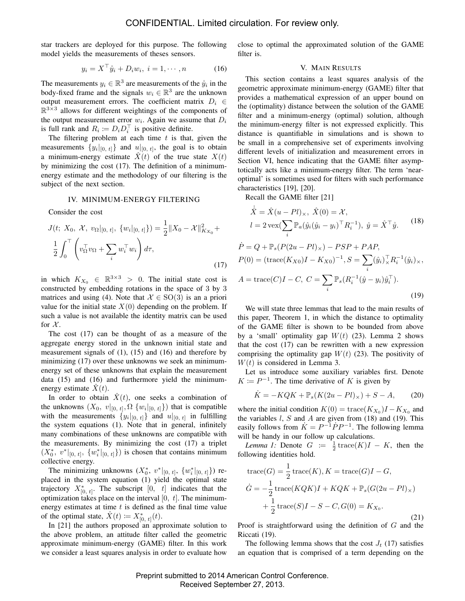star trackers are deployed for this purpose. The following model yields the measurements of theses sensors.

$$
y_i = X^\top \mathring{y}_i + D_i w_i, \ i = 1, \cdots, n \tag{16}
$$

The measurements  $y_i \in \mathbb{R}^3$  are measurements of the  $\mathring{y}_i$  in the body-fixed frame and the signals  $w_i \in \mathbb{R}^3$  are the unknown output measurement errors. The coefficient matrix  $D_i \in$  $\mathbb{R}^{3\times 3}$  allows for different weightings of the components of the output measurement error  $w_i$ . Again we assume that  $D_i$ is full rank and  $R_i := D_i D_i^{\top}$  is positive definite.

The filtering problem at each time  $t$  is that, given the measurements  $\{y_i|_{[0, t]}\}$  and  $u|_{[0, t]}$ , the goal is to obtain a minimum-energy estimate  $\hat{X}(t)$  of the true state  $X(t)$ by minimizing the cost (17). The definition of a minimumenergy estimate and the methodology of our filtering is the subject of the next section.

## IV. MINIMUM-ENERGY FILTERING

Consider the cost

$$
J(t; X_0, \mathcal{X}, v_{\Omega}|_{[0, t]}, \{w_i|_{[0, t]}\}) = \frac{1}{2} \|X_0 - \mathcal{X}\|_{K_{X_0}}^2 + \frac{1}{2} \int_0^{\top} \left(v_{\Omega}^{\top} v_{\Omega} + \sum_i w_i^{\top} w_i\right) d\tau,
$$
\n(17)

in which  $K_{X_0} \in \mathbb{R}^{3 \times 3} > 0$ . The initial state cost is constructed by embedding rotations in the space of 3 by 3 matrices and using (4). Note that  $\mathcal{X} \in SO(3)$  is an a priori value for the initial state  $X(0)$  depending on the problem. If such a value is not available the identity matrix can be used for  $\mathcal{X}$ .

The cost (17) can be thought of as a measure of the aggregate energy stored in the unknown initial state and measurement signals of (1), (15) and (16) and therefore by minimizing (17) over these unknowns we seek an minimumenergy set of these unknowns that explain the measurement data (15) and (16) and furthermore yield the minimumenergy estimate  $\ddot{X}(t)$ .

In order to obtain  $\hat{X}(t)$ , one seeks a combination of the unknowns  $(X_0, v|_{[0, t]}, \Omega \{w_i|_{[0, t]}\})$  that is compatible with the measurements  $\{y_i|_{[0, t]}\}$  and  $u|_{[0, t]}$  in fulfilling the system equations (1). Note that in general, infinitely many combinations of these unknowns are compatible with the measurements. By minimizing the cost (17) a triplet  $(X_0^*, v^*|_{[0, t]}, \{w_i^*|_{[0, t]}\})$  is chosen that contains minimum collective energy.

The minimizing unknowns  $(X_0^*, v^*|_{[0, t]}, \{w_i^*|_{[0, t]}\})$  replaced in the system equation (1) yield the optimal state trajectory  $X_{[0, t]}^*$ . The subscript  $[0, t]$  indicates that the optimization takes place on the interval  $[0, t]$ . The minimumenergy estimates at time  $t$  is defined as the final time value of the optimal state,  $\hat{X}(t) \coloneqq X_{[0, t]}^*(t)$ .

In [21] the authors proposed an approximate solution to the above problem, an attitude filter called the geometric approximate minimum-energy (GAME) filter. In this work we consider a least squares analysis in order to evaluate how

close to optimal the approximated solution of the GAME filter is.

#### V. MAIN RESULTS

This section contains a least squares analysis of the geometric approximate minimum-energy (GAME) filter that provides a mathematical expression of an upper bound on the (optimality) distance between the solution of the GAME filter and a minimum-energy (optimal) solution, although the minimum-energy filter is not expressed explicitly. This distance is quantifiable in simulations and is shown to be small in a comprehensive set of experiments involving different levels of initialization and measurement errors in Section VI, hence indicating that the GAME filter asymptotically acts like a minimum-energy filter. The term 'nearoptimal' is sometimes used for filters with such performance characteristics [19], [20].

Recall the GAME filter [21]

$$
\dot{\hat{X}} = \hat{X}(u - Pl)_{\times}, \ \hat{X}(0) = \mathcal{X},
$$
\n
$$
l = 2 \operatorname{vex}(\sum_{i} \mathbb{P}_{a}(\hat{y}_{i}(\hat{y}_{i} - y_{i})^{\top} R_{i}^{-1}), \ \hat{y} = \hat{X}^{\top} \hat{y}.
$$
\n
$$
Q + \mathbb{P}_{a}(\hat{P}(Q_{2}, \hat{P})) = \hat{P}_{a}^{C} \hat{P}_{a} + \hat{P}_{a}^{A} \hat{P}_{a}.
$$
\n(18)

$$
F = Q + \mathbb{F}_s(F(2u - Ft)_\times) - FSF + FAF,
$$
  
\n
$$
P(0) = (\text{trace}(K_{X0})I - K_{X0})^{-1}, S = \sum_i (\hat{y}_i)^{\top}_{\times} R_i^{-1}(\hat{y}_i)_\times,
$$
  
\n
$$
A = \text{trace}(C)I - C, C = \sum_i \mathbb{P}_s(R_i^{-1}(\hat{y} - y_i)\hat{y}_i^{\top}).
$$
\n(19)

We will state three lemmas that lead to the main results of this paper, Theorem 1, in which the distance to optimality of the GAME filter is shown to be bounded from above by a 'small' optimality gap  $W(t)$  (23). Lemma 2 shows that the cost (17) can be rewritten with a new expression comprising the optimality gap  $W(t)$  (23). The positivity of  $W(t)$  is considered in Lemma 3.

Let us introduce some auxiliary variables first. Denote  $K \coloneqq P^{-1}$ . The time derivative of K is given by

$$
\dot{K} = -KQK + \mathbb{P}_s(K(2u - Pl)_\times) + S - A,\tag{20}
$$

where the initial condition  $K(0) = \text{trace}(K_{X_0})I - K_{X_0}$  and the variables  $l$ ,  $S$  and  $A$  are given from (18) and (19). This easily follows from  $\dot{K} = P^{-1} \dot{P} P^{-1}$ . The following lemma will be handy in our follow up calculations.

*Lemma 1:* Denote  $G := \frac{1}{2} \text{trace}(K)I - K$ , then the following identities hold.

trace(G) = 
$$
\frac{1}{2}
$$
trace(K), K = trace(G)I - G,  
\n
$$
\dot{G} = -\frac{1}{2}
$$
trace(KQK)I + KQK +  $\mathbb{P}_s$ (G(2u – Pl)<sub>x</sub>)  
\n
$$
+\frac{1}{2}
$$
trace(S)I - S - C, G(0) = K<sub>X<sub>0</sub></sub>. (21)

Proof is straightforward using the definition of  $G$  and the Riccati (19).

The following lemma shows that the cost  $J_t$  (17) satisfies an equation that is comprised of a term depending on the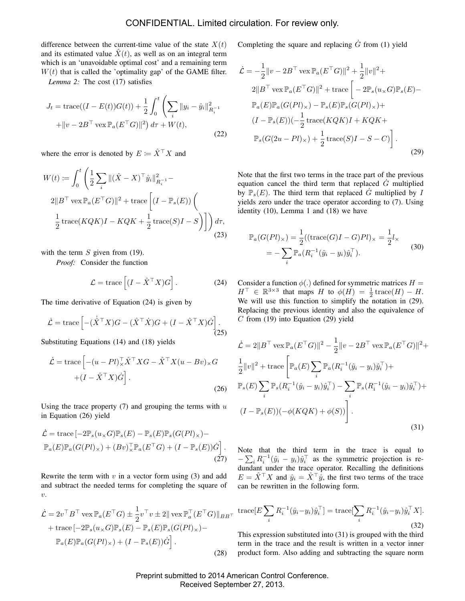difference between the current-time value of the state  $X(t)$ and its estimated value  $\hat{X}(t)$ , as well as on an integral term which is an 'unavoidable optimal cost' and a remaining term  $W(t)$  that is called the 'optimality gap' of the GAME filter.

*Lemma 2:* The cost (17) satisfies

$$
J_t = \text{trace}((I - E(t))G(t)) + \frac{1}{2} \int_0^t \left(\sum_i ||y_i - \hat{y}_i||_{R_i^{-1}}^2 + ||v - 2B^\top \text{vex} \mathbb{P}_a(E^\top G)||^2\right) d\tau + W(t),
$$
\n(22)

where the error is denoted by  $E \coloneqq \hat{X}^{\top} X$  and

$$
W(t) := \int_0^t \left( \frac{1}{2} \sum_i ||(\hat{X} - X)^{\top} \hat{y}_i||_{R_i^{-1}}^2 - 2||B^{\top} \operatorname{vex} \mathbb{P}_a(E^{\top} G)||^2 + \operatorname{trace} \left[ (I - \mathbb{P}_s(E)) \left( \frac{1}{2} \operatorname{trace}(KQK)I - KQK + \frac{1}{2} \operatorname{trace}(S)I - S \right) \right] \right) d\tau,
$$
\n(23)

with the term  $S$  given from (19).

*Proof:* Consider the function

$$
\mathcal{L} = \text{trace}\left[ (I - \hat{X}^\top X)G \right].
$$
 (24)

The time derivative of Equation (24) is given by

$$
\dot{\mathcal{L}} = \text{trace}\left[ -(\dot{\hat{X}}^{\top}X)G - (\hat{X}^{\top}\dot{X})G + (I - \hat{X}^{\top}X)\dot{G} \right].
$$
\n(25)

Substituting Equations (14) and (18) yields

$$
\dot{\mathcal{L}} = \text{trace}\left[ -(u - Pl)_{\times}^\top \hat{X}^\top X G - \hat{X}^\top X (u - Bv)_{\times} G \right. \\
\left. + (I - \hat{X}^\top X) \dot{G} \right].
$$
\n(26)

Using the trace property  $(7)$  and grouping the terms with u in Equation (26) yield

$$
\dot{\mathcal{L}} = \text{trace}\left[-2\mathbb{P}_s(u_\times G)\mathbb{P}_s(E) - \mathbb{P}_s(E)\mathbb{P}_s(G(Pl)_\times) - \mathbb{P}_a(E)\mathbb{P}_a(G(Pl)_\times) + (Bv)_\times^{\top}\mathbb{P}_a(E^{\top}G) + (I - \mathbb{P}_s(E))\dot{G}\right].
$$
\n(27)

Rewrite the term with  $v$  in a vector form using (3) and add and subtract the needed terms for completing the square of  $\eta$ .

$$
\dot{\mathcal{L}} = 2v^{\top} B^{\top} \operatorname{vex} \mathbb{P}_a(E^{\top} G) \pm \frac{1}{2} v^{\top} v \pm 2 \|\operatorname{vex} \mathbb{P}_a^{\top} (E^{\top} G) \|_{BB^{\top}}
$$

$$
+ \operatorname{trace} [-2\mathbb{P}_s(u \times G) \mathbb{P}_s(E) - \mathbb{P}_s(E) \mathbb{P}_s(G(Pl) \times) -
$$

$$
\mathbb{P}_a(E) \mathbb{P}_a(G(Pl) \times) + (I - \mathbb{P}_s(E)) \dot{G}].
$$
\n(28)

Completing the square and replacing  $\dot{G}$  from (1) yield

$$
\dot{\mathcal{L}} = -\frac{1}{2} ||v - 2B^{\top} \operatorname{vex} \mathbb{P}_a (E^{\top} G) ||^2 + \frac{1}{2} ||v||^2 +
$$
  
\n
$$
2||B^{\top} \operatorname{vex} \mathbb{P}_a (E^{\top} G) ||^2 + \operatorname{trace} \left[ -2 \mathbb{P}_s (u \times G) \mathbb{P}_s (E) -
$$
  
\n
$$
\mathbb{P}_a (E) \mathbb{P}_a (G(Pl) \times) - \mathbb{P}_s (E) \mathbb{P}_s (G(Pl) \times) +
$$
  
\n
$$
(I - \mathbb{P}_s (E)) (-\frac{1}{2} \operatorname{trace} (KQK)I + KQK +
$$
  
\n
$$
\mathbb{P}_s (G(2u - Pl) \times) + \frac{1}{2} \operatorname{trace} (S)I - S - C) \right].
$$
\n(29)

Note that the first two terms in the trace part of the previous equation cancel the third term that replaced  $\dot{G}$  multiplied by  $\mathbb{P}_s(E)$ . The third term that replaced  $\dot{G}$  multiplied by I yields zero under the trace operator according to (7). Using identity (10), Lemma 1 and (18) we have

$$
\mathbb{P}_a(G(Pl)_\times) = \frac{1}{2}((\text{trace}(G)I - G)Pl)_\times = \frac{1}{2}l_\times
$$
  
= 
$$
-\sum_i \mathbb{P}_a(R_i^{-1}(\hat{y}_i - y_i)\hat{y}_i^\top).
$$
 (30)

Consider a function  $\phi(.)$  defined for symmetric matrices  $H =$  $H^{\top} \in \mathbb{R}^{3 \times 3}$  that maps H to  $\phi(H) = \frac{1}{2} \operatorname{trace}(H) - H$ . We will use this function to simplify the notation in  $(29)$ . Replacing the previous identity and also the equivalence of  $C$  from (19) into Equation (29) yield

$$
\dot{\mathcal{L}} = 2||B^{\top} \text{ vex } \mathbb{P}_a(E^{\top}G)||^2 - \frac{1}{2}||v - 2B^{\top} \text{ vex } \mathbb{P}_a(E^{\top}G)||^2 + \frac{1}{2}||v||^2 + \text{trace}\left[\mathbb{P}_a(E)\sum_i \mathbb{P}_a(R_i^{-1}(\hat{y}_i - y_i)\hat{y}_i^{\top}) + \mathbb{P}_s(E)\sum_i \mathbb{P}_s(R_i^{-1}(\hat{y}_i - y_i)\hat{y}_i^{\top}) - \sum_i \mathbb{P}_s(R_i^{-1}(\hat{y}_i - y_i)\hat{y}_i^{\top}) + \frac{1}{2}||v||^2 + \frac{1}{2}||v||^2 + \frac{1}{2}||v||^2.
$$
\n
$$
(1 - \mathbb{P}_s(E))(-\phi(KQK) + \phi(S))\left[ .\right].
$$
\n
$$
(31)
$$

Note that the third term in the trace is equal to  $-\sum_i R_i^{-1}(\hat{y}_i - y_i)\hat{y}_i^{\top}$  as the symmetric projection is redundant under the trace operator. Recalling the definitions  $E = \hat{X}^{\top} X$  and  $\hat{y}_i = \hat{X}^{\top} \hat{y}$ , the first two terms of the trace can be rewritten in the following form.

trace[
$$
E \sum_{i} R_i^{-1}(\hat{y}_i - y_i)\hat{y}_i^{\top}
$$
] = trace[ $\sum_{i} R_i^{-1}(\hat{y}_i - y_i)\hat{y}_i^{\top} X$ ]. (32)

This expression substituted into (31) is grouped with the third term in the trace and the result is written in a vector inner product form. Also adding and subtracting the square norm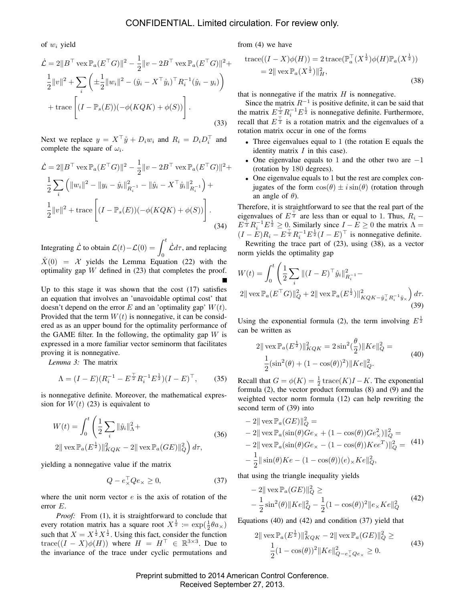of  $w_i$  yield

$$
\dot{\mathcal{L}} = 2||B^{\top} \text{ vex} \mathbb{P}_a (E^{\top} G)||^2 - \frac{1}{2}||v - 2B^{\top} \text{ vex} \mathbb{P}_a (E^{\top} G)||^2 + \frac{1}{2}||v||^2 + \sum_i \left( \pm \frac{1}{2}||w_i||^2 - (\hat{y}_i - X^{\top} \hat{y}_i)^{\top} R_i^{-1} (\hat{y}_i - y_i) \right) + \text{trace} \left[ (I - \mathbb{P}_s(E)) (-\phi(KQK) + \phi(S)) \right].
$$
\n(33)

Next we replace  $y = X^{\top} \hat{y} + D_i w_i$  and  $R_i = D_i D_i^{\top}$  and complete the square of  $\omega_i$ .

$$
\dot{\mathcal{L}} = 2||B^{\top} \text{ vex} \mathbb{P}_a (E^{\top} G)||^2 - \frac{1}{2}||v - 2B^{\top} \text{ vex} \mathbb{P}_a (E^{\top} G)||^2 +
$$
  
\n
$$
\frac{1}{2} \sum_i \left( ||w_i||^2 - ||y_i - \hat{y}_i||_{R_i^{-1}}^2 - ||\hat{y}_i - X^{\top} \hat{y}_i||_{R_i^{-1}}^2 \right) +
$$
  
\n
$$
\frac{1}{2}||v||^2 + \text{trace} \left[ (I - \mathbb{P}_s(E))(-\phi(KQK) + \phi(S)) \right].
$$
  
\n(34)

Integrating  $\dot{\mathcal{L}}$  to obtain  $\mathcal{L}(t) - \mathcal{L}(0) = \int^t$ 0  $\dot{\mathcal{L}}d\tau$ , and replacing  $\hat{X}(0) = X$  yields the Lemma Equation (22) with the optimality gap  $W$  defined in (23) that completes the proof.

Up to this stage it was shown that the cost (17) satisfies an equation that involves an 'unavoidable optimal cost' that doesn't depend on the error  $E$  and an 'optimality gap'  $W(t)$ . Provided that the term  $W(t)$  is nonnegative, it can be considered as as an upper bound for the optimality performance of the GAME filter. In the following, the optimality gap  $W$  is expressed in a more familiar vector seminorm that facilitates proving it is nonnegative.

*Lemma 3:* The matrix

$$
\Lambda = (I - E)(R_i^{-1} - E^{\frac{T}{2}}R_i^{-1}E^{\frac{1}{2}})(I - E)^{\top}, \tag{35}
$$

is nonnegative definite. Moreover, the mathematical expression for  $W(t)$  (23) is equivalent to

$$
W(t) = \int_0^t \left( \frac{1}{2} \sum_i \|\hat{y}_i\|_{\Lambda}^2 + \right)
$$
  
2 $\|\operatorname{vex} \mathbb{P}_a(E^{\frac{1}{2}})\|_{KQK}^2 - 2\|\operatorname{vex} \mathbb{P}_a(GE)\|_Q^2 \right) d\tau,$  (36)

yielding a nonnegative value if the matrix

$$
Q - e_{\times}^{\top} Q e_{\times} \ge 0, \tag{37}
$$

where the unit norm vector  $e$  is the axis of rotation of the error E.

*Proof:* From (1), it is straightforward to conclude that every rotation matrix has a square root  $X^{\frac{1}{2}} := \exp(\frac{1}{2}\theta a_{\times})$ such that  $X = X^{\frac{1}{2}} X^{\frac{1}{2}}$ . Using this fact, consider the function trace( $(I - X)\phi(H)$ ) where  $H = H^{\top} \in \mathbb{R}^{3 \times 3}$ . Due to the invariance of the trace under cyclic permutations and

from (4) we have

trace
$$
((I - X)\phi(H)) = 2 \operatorname{trace}(\mathbb{P}_a^{\top}(X^{\frac{1}{2}})\phi(H)\mathbb{P}_a(X^{\frac{1}{2}}))
$$
  
= 2|| vec  $\mathbb{P}_a(X^{\frac{1}{2}})||_H^2$ , (38)

that is nonnegative if the matrix  $H$  is nonnegative.

Since the matrix  $R^{-1}$  is positive definite, it can be said that the matrix  $E^{\pm}_{\pm} R_i^{-1} E^{\frac{1}{2}}$  is nonnegative definite. Furthermore, recall that  $E^{\frac{T}{2}}$  is a rotation matrix and the eigenvalues of a rotation matrix occur in one of the forms

- Three eigenvalues equal to 1 (the rotation E equals the identity matrix  $I$  in this case).
- One eigenvalue equals to 1 and the other two are  $-1$ (rotation by 180 degrees).
- One eigenvalue equals to 1 but the rest are complex conjugates of the form  $cos(\theta) \pm i sin(\theta)$  (rotation through an angle of  $\theta$ ).

Therefore, it is straightforward to see that the real part of the eigenvalues of  $E^{\top}$  are less than or equal to 1. Thus,  $R_i$  –  $E^{\frac{+}{2}} R_i^{-1} E^{\frac{1}{2}} \geq 0$ . Similarly since  $I - E \geq 0$  the matrix  $\Lambda =$  $(I - E)R_i - E^{\frac{T}{2}}R_i^{-1}E^{\frac{1}{2}}(I - E)^{\top}$  is nonnegative definite.

Rewriting the trace part of (23), using (38), as a vector norm yields the optimality gap

$$
W(t) = \int_0^t \left( \frac{1}{2} \sum_i ||(I - E)^{\top} \hat{y}_i||_{R_i^{-1}}^2 - 2||\operatorname{vex} \mathbb{P}_a(E^{\top} G)||_Q^2 + 2||\operatorname{vex} \mathbb{P}_a(E^{\frac{1}{2}})||_{KQK - \hat{y}_X^{-} R_i^{-1} \hat{y}_X}^2 \right) d\tau.
$$
\n(39)

Using the exponential formula (2), the term involving  $E^{\frac{1}{2}}$ can be written as

$$
2\|\operatorname{vex} \mathbb{P}_a(E^{\frac{1}{2}})\|_{KQK}^2 = 2\sin^2(\frac{\theta}{2})\|Ke\|_Q^2 =
$$
  

$$
\frac{1}{2}(\sin^2(\theta) + (1 - \cos(\theta))^2)\|Ke\|_Q^2.
$$
 (40)

Recall that  $G = \phi(K) = \frac{1}{2} \operatorname{trace}(K)I - K$ . The exponential formula (2), the vector product formulas (8) and (9) and the weighted vector norm formula (12) can help rewriting the second term of (39) into

$$
- 2\|\operatorname{vex} \mathbb{P}_a (GE)\|_Q^2 =
$$
  
\n
$$
- 2\|\operatorname{vex} \mathbb{P}_a(\sin(\theta) Ge_\times + (1 - \cos(\theta))Ge_\times^2)\|_Q^2 =
$$
  
\n
$$
- 2\|\operatorname{vex} \mathbb{P}_a(\sin(\theta) Ge_\times - (1 - \cos(\theta))Kee^T)\|_Q^2 =
$$
  
\n
$$
- \frac{1}{2}\|\sin(\theta)Ke - (1 - \cos(\theta))(e_\times Ke\|_Q^2),
$$
 (41)

that using the triangle inequality yields

$$
-2\|\operatorname{vex} \mathbb{P}_a (GE)\|_Q^2 \ge -\frac{1}{2}\sin^2(\theta)\|Ke\|_Q^2 - \frac{1}{2}(1-\cos(\theta))^2\|e_\times Ke\|_Q^2
$$
 (42)

Equations (40) and (42) and condition (37) yield that

$$
2\|\operatorname{vex} \mathbb{P}_a(E^{\frac{1}{2}})\|_{KQK}^2 - 2\|\operatorname{vex} \mathbb{P}_a(GE)\|_{Q}^2 \ge
$$
  

$$
\frac{1}{2}(1 - \cos(\theta))^2 \|Ke\|_{Q-e_{\times}^{\top}Qe_{\times}}^2 \ge 0.
$$
 (43)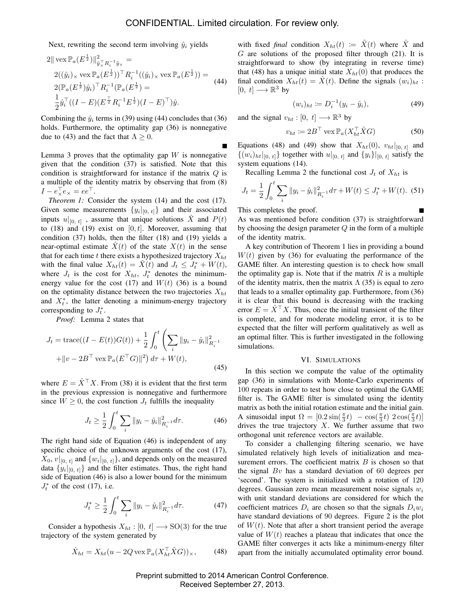Next, rewriting the second term involving  $\hat{y}_i$  yields

$$
2\|\operatorname{vex} \mathbb{P}_a(E^{\frac{1}{2}})\|_{\hat{y}_\times^{\top} R_i^{-1} \hat{y}_\times}^2 =
$$
  
\n
$$
2((\hat{y}_i)_\times \operatorname{vex} \mathbb{P}_a(E^{\frac{1}{2}}))^{\top} R_i^{-1}((\hat{y}_i)_\times \operatorname{vex} \mathbb{P}_a(E^{\frac{1}{2}})) =
$$
  
\n
$$
2(\mathbb{P}_a(E^{\frac{1}{2}})\hat{y}_i)^{\top} R_i^{-1}(\mathbb{P}_a(E^{\frac{1}{2}})) =
$$
  
\n
$$
\frac{1}{2}\hat{y}_i^{\top}((I - E)(E^{\frac{1}{2}}R_i^{-1}E^{\frac{1}{2}})(I - E)^{\top})\hat{y}.
$$
 (44)

Combining the  $\hat{y}_i$  terms in (39) using (44) concludes that (36) holds. Furthermore, the optimality gap (36) is nonnegative due to (43) and the fact that  $\Lambda \geq 0$ .

Lemma 3 proves that the optimality gap  $W$  is nonnegative given that the condition (37) is satisfied. Note that this condition is straightforward for instance if the matrix Q is a multiple of the identity matrix by observing that from (8)  $I - e_{\times}^{\top}e_{\times} = ee^{\top}.$ 

*Theorem 1:* Consider the system (14) and the cost (17). Given some measurements  $\{y_i|_{[0, t]}\}\$  and their associated inputs  $u|_{[0, t]}$ , assume that unique solutions  $\hat{X}$  and  $P(t)$ to (18) and (19) exist on  $[0, t]$ . Moreover, assuming that condition (37) holds, then the filter (18) and (19) yields a near-optimal estimate  $\ddot{X}(t)$  of the state  $X(t)$  in the sense that for each time t there exists a hypothesized trajectory  $X_{ht}$ with the final value  $X_{ht}(t) = \hat{X}(t)$  and  $J_t \leq J_t^* + W(t)$ , where  $J_t$  is the cost for  $X_{ht}$ ,  $J_t^*$  denotes the minimumenergy value for the cost (17) and  $W(t)$  (36) is a bound on the optimality distance between the two trajectories  $X_{ht}$ and  $X_t^*$ , the latter denoting a minimum-energy trajectory corresponding to  $J_t^*$ .

*Proof:* Lemma 2 states that

$$
J_t = \text{trace}((I - E(t))G(t)) + \frac{1}{2} \int_0^t \left(\sum_i ||y_i - \hat{y}_i||_{R_i^{-1}}^2 + ||v - 2B^\top \text{vex} \mathbb{P}_a(E^\top G)||^2\right) d\tau + W(t),
$$
\n(45)

where  $E = \hat{X}^{\top} X$ . From (38) it is evident that the first term in the previous expression is nonnegative and furthermore since  $W \geq 0$ , the cost function  $J_t$  fulfills the inequality

$$
J_t \ge \frac{1}{2} \int_0^t \sum_i ||y_i - \hat{y}_i||_{R_i^{-1}}^2 d\tau.
$$
 (46)

The right hand side of Equation (46) is independent of any specific choice of the unknown arguments of the cost (17),  $X_0, v|_{[0, t]}$  and  $\{w_i|_{[0, t]}\}$ , and depends only on the measured data  $\{y_i|_{[0, t]}\}\$  and the filter estimates. Thus, the right hand side of Equation (46) is also a lower bound for the minimum  $J_t^*$  of the cost (17), i.e.

$$
J_t^* \ge \frac{1}{2} \int_0^t \sum_i \|y_i - \hat{y}_i\|_{R_i^{-1}}^2 d\tau.
$$
 (47)

Consider a hypothesis  $X_{ht} : [0, t] \longrightarrow SO(3)$  for the true trajectory of the system generated by

$$
\dot{X}_{ht} = X_{ht} (u - 2Q \operatorname{vex} \mathbb{P}_a (X_{ht}^\top \hat{X} G))_{\times}, \qquad (48)
$$

with fixed *final* condition  $X_{ht}(t) := \hat{X}(t)$  where  $\hat{X}$  and  $G$  are solutions of the proposed filter through (21). It is straightforward to show (by integrating in reverse time) that (48) has a unique initial state  $X_{ht}(0)$  that produces the final condition  $X_{ht}(t) = \hat{X}(t)$ . Define the signals  $(w_i)_{ht}$ :  $[0, t] \longrightarrow \mathbb{R}^3$  by

$$
(w_i)_{ht} := D_i^{-1}(y_i - \hat{y}_i), \tag{49}
$$

and the signal  $v_{ht} : [0, t] \longrightarrow \mathbb{R}^3$  by

$$
v_{ht} \coloneqq 2B^{\top} \operatorname{vex} \mathbb{P}_a(X_{ht}^{\top} \hat{X} G)
$$
 (50)

Equations (48) and (49) show that  $X_{ht}(0)$ ,  $v_{ht}|_{[0, t]}$  and  $\{(w_i)_{ht}|_{[0, t]}\}$  together with  $u|_{[0, t]}$  and  $\{y_i\}|_{[0, t]}$  satisfy the system equations (14).

Recalling Lemma 2 the functional cost  $J_t$  of  $X_{ht}$  is

$$
J_t = \frac{1}{2} \int_0^t \sum_i ||y_i - \hat{y}_i||_{R_i^{-1}}^2 d\tau + W(t) \le J_t^* + W(t). \tag{51}
$$

This completes the proof.

As was mentioned before condition (37) is straightforward by choosing the design parameter  $Q$  in the form of a multiple of the identity matrix.

A key contribution of Theorem 1 lies in providing a bound  $W(t)$  given by (36) for evaluating the performance of the GAME filter. An interesting question is to check how small the optimality gap is. Note that if the matrix  $R$  is a multiple of the identity matrix, then the matrix  $\Lambda$  (35) is equal to zero that leads to a smaller optimality gap. Furthermore, from (36) it is clear that this bound is decreasing with the tracking error  $E = \hat{X}^\top X$ . Thus, once the initial transient of the filter is complete, and for moderate modeling error, it is to be expected that the filter will perform qualitatively as well as an optimal filter. This is further investigated in the following simulations.

#### VI. SIMULATIONS

In this section we compute the value of the optimality gap (36) in simulations with Monte-Carlo experiments of 100 repeats in order to test how close to optimal the GAME filter is. The GAME filter is simulated using the identity matrix as both the initial rotation estimate and the initial gain. A sinusoidal input  $\Omega = [0.2 \sin(\frac{\pi}{3}t) - \cos(\frac{\pi}{3}t) 2 \cos(\frac{\pi}{3}t)]$ drives the true trajectory  $X$ . We further assume that two orthogonal unit reference vectors are available.

To consider a challenging filtering scenario, we have simulated relatively high levels of initialization and measurement errors. The coefficient matrix  $B$  is chosen so that the signal  $Bv$  has a standard deviation of 60 degrees per 'second'. The system is initialized with a rotation of 120 degrees. Gaussian zero mean measurement noise signals  $w_i$ with unit standard deviations are considered for which the coefficient matrices  $D_i$  are chosen so that the signals  $D_i w_i$ have standard deviations of 90 degrees. Figure 2 is the plot of  $W(t)$ . Note that after a short transient period the average value of  $W(t)$  reaches a plateau that indicates that once the GAME filter converges it acts like a minimum-energy filter apart from the initially accumulated optimality error bound.